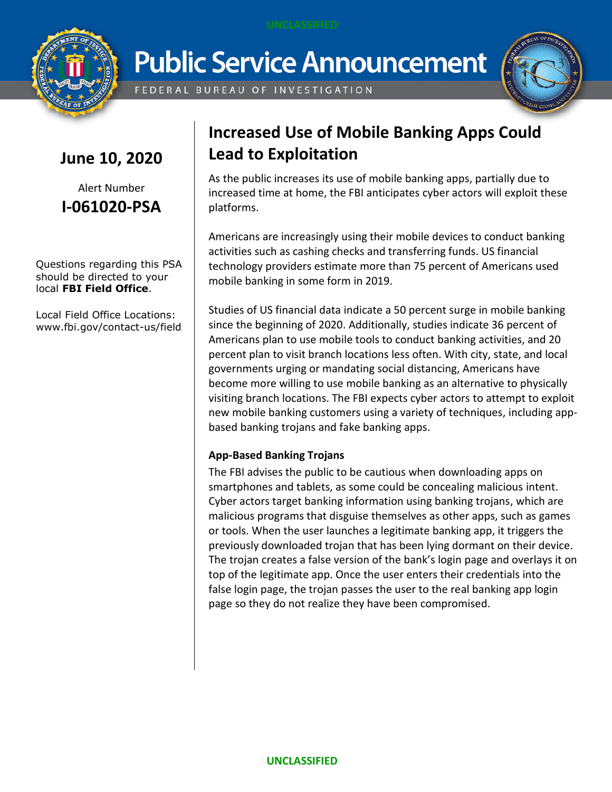

**Public Service Announcement** 

FEDERAL BUREAU OF INVESTIGATION



### **June 10, 2020**

Alert Number **I-061020-PSA**

Questions regarding this PSA should be directed to your local **FBI Field Office**.

Local Field Office Locations: www.fbi.gov/contact-us/field

## **Increased Use of Mobile Banking Apps Could Lead to Exploitation**

As the public increases its use of mobile banking apps, partially due to increased time at home, the FBI anticipates cyber actors will exploit these platforms.

Americans are increasingly using their mobile devices to conduct banking activities such as cashing checks and transferring funds. US financial technology providers estimate more than 75 percent of Americans used mobile banking in some form in 2019.

Studies of US financial data indicate a 50 percent surge in mobile banking since the beginning of 2020. Additionally, studies indicate 36 percent of Americans plan to use mobile tools to conduct banking activities, and 20 percent plan to visit branch locations less often. With city, state, and local governments urging or mandating social distancing, Americans have become more willing to use mobile banking as an alternative to physically visiting branch locations. The FBI expects cyber actors to attempt to exploit new mobile banking customers using a variety of techniques, including appbased banking trojans and fake banking apps.

### **App-Based Banking Trojans**

The FBI advises the public to be cautious when downloading apps on smartphones and tablets, as some could be concealing malicious intent. Cyber actors target banking information using banking trojans, which are malicious programs that disguise themselves as other apps, such as games or tools. When the user launches a legitimate banking app, it triggers the previously downloaded trojan that has been lying dormant on their device. The trojan creates a false version of the bank's login page and overlays it on top of the legitimate app. Once the user enters their credentials into the false login page, the trojan passes the user to the real banking app login page so they do not realize they have been compromised.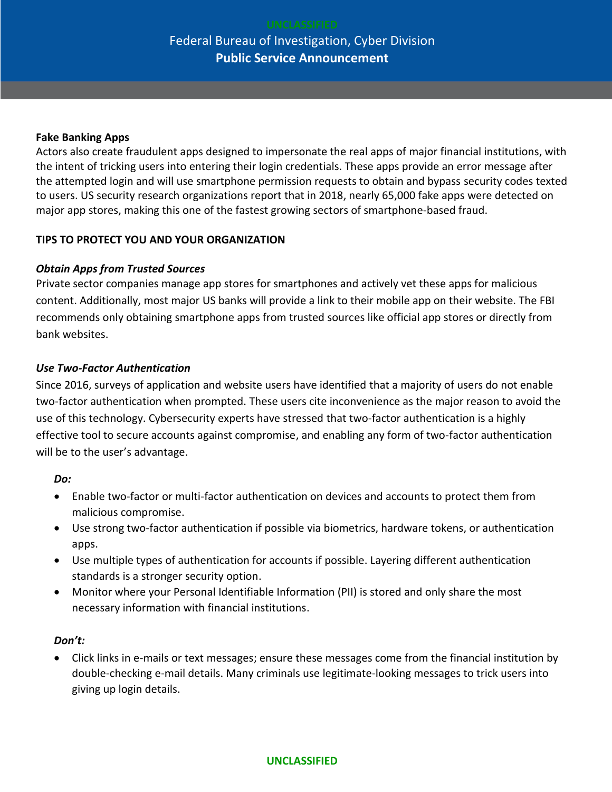# Federal Bureau of Investigation, Cyber Division **Public Service Announcement**

#### **Fake Banking Apps**

Actors also create fraudulent apps designed to impersonate the real apps of major financial institutions, with the intent of tricking users into entering their login credentials. These apps provide an error message after the attempted login and will use smartphone permission requests to obtain and bypass security codes texted to users. US security research organizations report that in 2018, nearly 65,000 fake apps were detected on major app stores, making this one of the fastest growing sectors of smartphone-based fraud.

#### **TIPS TO PROTECT YOU AND YOUR ORGANIZATION**

#### *Obtain Apps from Trusted Sources*

Private sector companies manage app stores for smartphones and actively vet these apps for malicious content. Additionally, most major US banks will provide a link to their mobile app on their website. The FBI recommends only obtaining smartphone apps from trusted sources like official app stores or directly from bank websites.

#### *Use Two-Factor Authentication*

Since 2016, surveys of application and website users have identified that a majority of users do not enable two-factor authentication when prompted. These users cite inconvenience as the major reason to avoid the use of this technology. Cybersecurity experts have stressed that two-factor authentication is a highly effective tool to secure accounts against compromise, and enabling any form of two-factor authentication will be to the user's advantage.

#### *Do:*

- Enable two-factor or multi-factor authentication on devices and accounts to protect them from malicious compromise.
- Use strong two-factor authentication if possible via biometrics, hardware tokens, or authentication apps.
- Use multiple types of authentication for accounts if possible. Layering different authentication standards is a stronger security option.
- Monitor where your Personal Identifiable Information (PII) is stored and only share the most necessary information with financial institutions.

#### *Don't:*

 Click links in e-mails or text messages; ensure these messages come from the financial institution by double-checking e-mail details. Many criminals use legitimate-looking messages to trick users into giving up login details.

#### **UNCLASSIFIED**